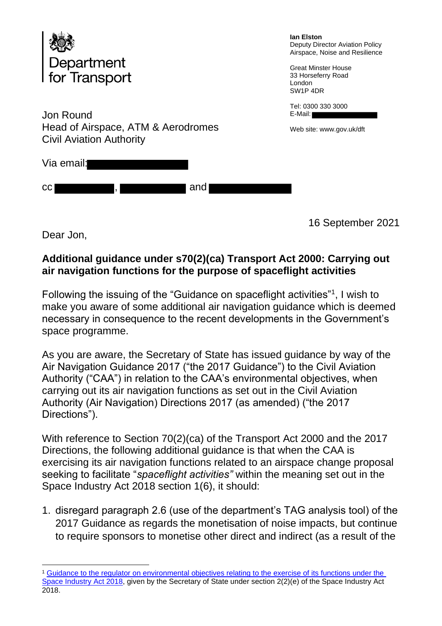

Jon Round Head of Airspace, ATM & Aerodromes Civil Aviation Authority

Via email:

cc , and , and ,

**Ian Elston** Deputy Director Aviation Policy Airspace, Noise and Resilience

Great Minster House 33 Horseferry Road London SW1P 4DR

Tel: 0300 330 3000 E-Mail:

Web site: www.gov.uk/dft

16 September 2021

Dear Jon,

## **Additional guidance under s70(2)(ca) Transport Act 2000: Carrying out air navigation functions for the purpose of spaceflight activities**

Following the issuing of the "Guidance on spaceflight activities"<sup>1</sup>, I wish to make you aware of some additional air navigation guidance which is deemed necessary in consequence to the recent developments in the Government's space programme.

As you are aware, the Secretary of State has issued guidance by way of the Air Navigation Guidance 2017 ("the 2017 Guidance") to the Civil Aviation Authority ("CAA") in relation to the CAA's environmental objectives, when carrying out its air navigation functions as set out in the Civil Aviation Authority (Air Navigation) Directions 2017 (as amended) ("the 2017 Directions").

With reference to Section 70(2)(ca) of the Transport Act 2000 and the 2017 Directions, the following additional guidance is that when the CAA is exercising its air navigation functions related to an airspace change proposal seeking to facilitate "*spaceflight activities"* within the meaning set out in the Space Industry Act 2018 section 1(6), it should:

1. disregard paragraph 2.6 (use of the department's TAG analysis tool) of the 2017 Guidance as regards the monetisation of noise impacts, but continue to require sponsors to monetise other direct and indirect (as a result of the

<sup>1</sup> Guidance to the regulator on environmental objectives relating to the exercise of its functions under the Space Industry Act 2018, given by the Secretary of State under section 2(2)(e) of the Space Industry Act 2018.